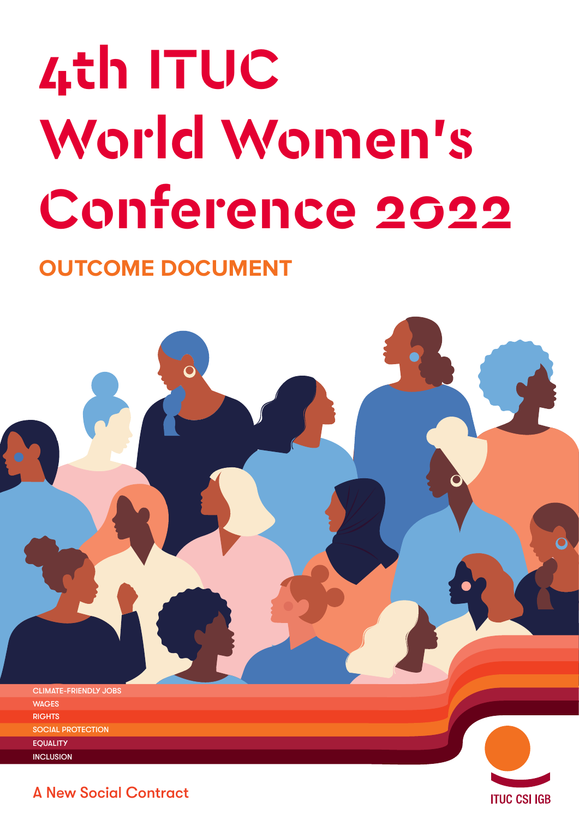# **4th ITUC World Women's Conference 2022**

### **OUTCOME DOCUMENT**



**ITUC CSI IGB** 

A New Social Contract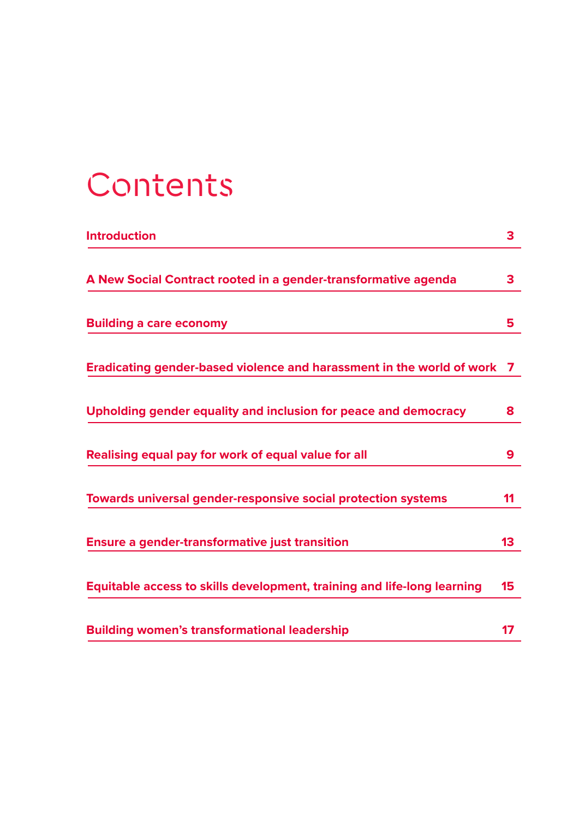### **Contents**

| <b>Introduction</b>                                                     | 3               |
|-------------------------------------------------------------------------|-----------------|
| A New Social Contract rooted in a gender-transformative agenda          | 3               |
| <b>Building a care economy</b>                                          | 5.              |
| Eradicating gender-based violence and harassment in the world of work   | 7               |
| Upholding gender equality and inclusion for peace and democracy         | 8               |
| Realising equal pay for work of equal value for all                     | 9               |
| <b>Towards universal gender-responsive social protection systems</b>    | 11              |
| <b>Ensure a gender-transformative just transition</b>                   | 13 <sup>°</sup> |
| Equitable access to skills development, training and life-long learning | 15              |
| <b>Building women's transformational leadership</b>                     | 17              |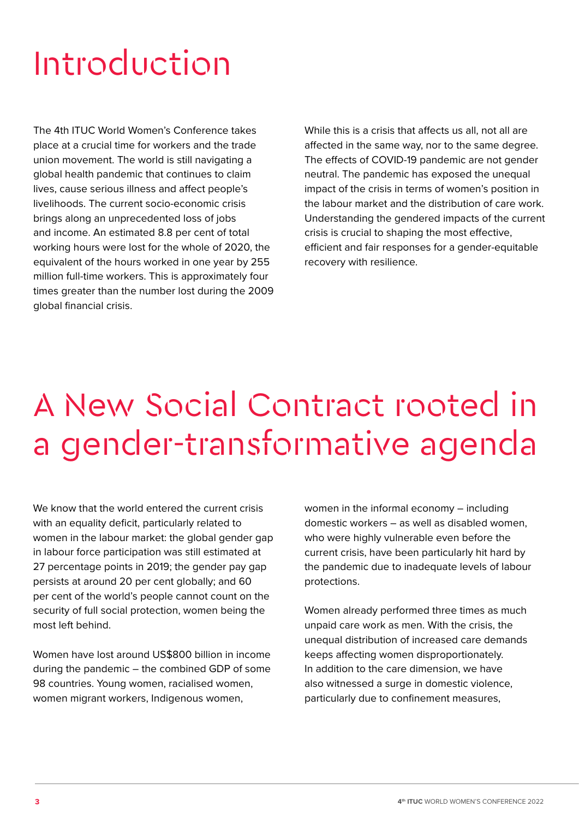### <span id="page-2-0"></span>Introduction

The 4th ITUC World Women's Conference takes place at a crucial time for workers and the trade union movement. The world is still navigating a global health pandemic that continues to claim lives, cause serious illness and affect people's livelihoods. The current socio-economic crisis brings along an unprecedented loss of jobs and income. An estimated 8.8 per cent of total working hours were lost for the whole of 2020, the equivalent of the hours worked in one year by 255 million full-time workers. This is approximately four times greater than the number lost during the 2009 global financial crisis.

While this is a crisis that affects us all, not all are affected in the same way, nor to the same degree. The effects of COVID-19 pandemic are not gender neutral. The pandemic has exposed the unequal impact of the crisis in terms of women's position in the labour market and the distribution of care work. Understanding the gendered impacts of the current crisis is crucial to shaping the most effective, efficient and fair responses for a gender-equitable recovery with resilience.

### A New Social Contract rooted in a gender-transformative agenda

We know that the world entered the current crisis with an equality deficit, particularly related to women in the labour market: the global gender gap in labour force participation was still estimated at 27 percentage points in 2019; the gender pay gap persists at around 20 per cent globally; and 60 per cent of the world's people cannot count on the security of full social protection, women being the most left behind.

Women have lost around US\$800 billion in income during the pandemic – the combined GDP of some 98 countries. Young women, racialised women, women migrant workers, Indigenous women,

women in the informal economy – including domestic workers – as well as disabled women, who were highly vulnerable even before the current crisis, have been particularly hit hard by the pandemic due to inadequate levels of labour protections.

Women already performed three times as much unpaid care work as men. With the crisis, the unequal distribution of increased care demands keeps affecting women disproportionately. In addition to the care dimension, we have also witnessed a surge in domestic violence, particularly due to confinement measures,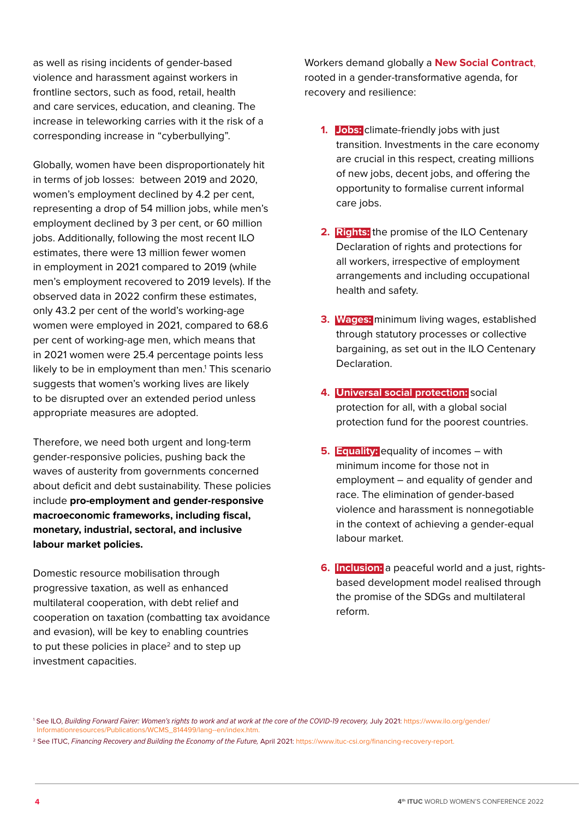as well as rising incidents of gender-based violence and harassment against workers in frontline sectors, such as food, retail, health and care services, education, and cleaning. The increase in teleworking carries with it the risk of a corresponding increase in "cyberbullying".

Globally, women have been disproportionately hit in terms of job losses: between 2019 and 2020, women's employment declined by 4.2 per cent, representing a drop of 54 million jobs, while men's employment declined by 3 per cent, or 60 million jobs. Additionally, following the most recent ILO estimates, there were 13 million fewer women in employment in 2021 compared to 2019 (while men's employment recovered to 2019 levels). If the observed data in 2022 confirm these estimates, only 43.2 per cent of the world's working-age women were employed in 2021, compared to 68.6 per cent of working-age men, which means that in 2021 women were 25.4 percentage points less likely to be in employment than men.<sup>1</sup> This scenario suggests that women's working lives are likely to be disrupted over an extended period unless appropriate measures are adopted.

Therefore, we need both urgent and long-term gender-responsive policies, pushing back the waves of austerity from governments concerned about deficit and debt sustainability. These policies include **pro-employment and gender-responsive macroeconomic frameworks, including fiscal, monetary, industrial, sectoral, and inclusive labour market policies.** 

Domestic resource mobilisation through progressive taxation, as well as enhanced multilateral cooperation, with debt relief and cooperation on taxation (combatting tax avoidance and evasion), will be key to enabling countries to put these policies in place<sup>2</sup> and to step up investment capacities.

Workers demand globally a **New Social Contract**, rooted in a gender-transformative agenda, for recovery and resilience:

- **1. Jobs:** climate-friendly jobs with just transition. Investments in the care economy are crucial in this respect, creating millions of new jobs, decent jobs, and offering the opportunity to formalise current informal care jobs.
- **2. Rights:** the promise of the ILO Centenary Declaration of rights and protections for all workers, irrespective of employment arrangements and including occupational health and safety.
- **3. Wages:** minimum living wages, established through statutory processes or collective bargaining, as set out in the ILO Centenary Declaration.
- **4. Universal social protection:** social protection for all, with a global social protection fund for the poorest countries.
- **5. Equality:** equality of incomes with minimum income for those not in employment – and equality of gender and race. The elimination of gender-based violence and harassment is nonnegotiable in the context of achieving a gender-equal labour market.
- **6. Inclusion:** a peaceful world and a just, rightsbased development model realised through the promise of the SDGs and multilateral reform.

<sup>1</sup> See ILO, *Building Forward Fairer: Women's rights to work and at work at the core of the COVID-19 recovery,* July 2021: [https://www.ilo.org/gender/](https://www.ilo.org/gender/Informationresources/Publications/WCMS_814499/lang--en/index.htm)  [Informationresources/Publications/WCMS\\_814499/lang--en/index.htm.](https://www.ilo.org/gender/Informationresources/Publications/WCMS_814499/lang--en/index.htm)

<sup>2</sup> See ITUC, *Financing Recovery and Building the Economy of the Future,* April 2021: [https://www.ituc-csi.org/financing-recovery-report.](https://www.ituc-csi.org/financing-recovery-report)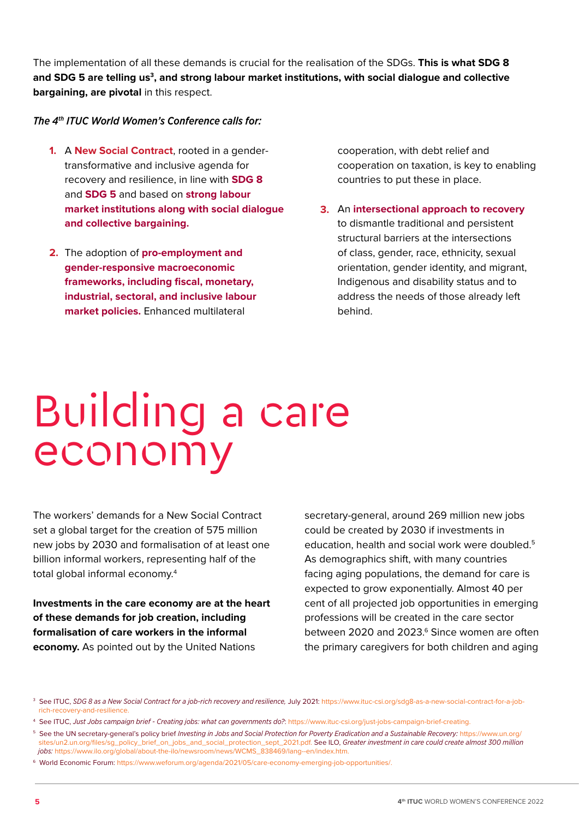<span id="page-4-0"></span>The implementation of all these demands is crucial for the realisation of the SDGs. **This is what SDG 8 and SDG 5 are telling us3, and strong labour market institutions, with social dialogue and collective bargaining, are pivotal** in this respect.

### *The 4th ITUC World Women's Conference calls for:*

- 1. A New Social Contract, rooted in a gendertransformative and inclusive agenda for recovery and resilience, in line with **SDG 8** and **SDG 5** and based on **strong labour market institutions along with social dialogue and collective bargaining.**
- 2. The adoption of pro-employment and **gender-responsive macroeconomic frameworks, including fiscal, monetary, industrial, sectoral, and inclusive labour market policies.** Enhanced multilateral

cooperation, with debt relief and cooperation on taxation, is key to enabling countries to put these in place.

**3.** An **intersectional approach to recovery**  to dismantle traditional and persistent structural barriers at the intersections of class, gender, race, ethnicity, sexual orientation, gender identity, and migrant, Indigenous and disability status and to address the needs of those already left behind.

# Building a care economy

The workers' demands for a New Social Contract set a global target for the creation of 575 million new jobs by 2030 and formalisation of at least one billion informal workers, representing half of the total global informal economy.4

**Investments in the care economy are at the heart of these demands for job creation, including formalisation of care workers in the informal economy.** As pointed out by the United Nations

secretary-general, around 269 million new jobs could be created by 2030 if investments in education, health and social work were doubled.<sup>5</sup> As demographics shift, with many countries facing aging populations, the demand for care is expected to grow exponentially. Almost 40 per cent of all projected job opportunities in emerging professions will be created in the care sector between 2020 and 2023.<sup>6</sup> Since women are often the primary caregivers for both children and aging

<sup>3</sup> See ITUC, *SDG 8 as a New Social Contract for a job-rich recovery and resilience,* July 2021: [https://www.ituc-csi.org/sdg8-as-a-new-social-contract-for-a-job](https://www.ituc-csi.org/sdg8-as-a-new-social-contract-for-a-job-rich-recovery-and-resilience)  [rich-recovery-and-resilience.](https://www.ituc-csi.org/sdg8-as-a-new-social-contract-for-a-job-rich-recovery-and-resilience)

<sup>4</sup> See ITUC, *Just Jobs campaign brief - Creating jobs: what can governments do?*: [https://www.ituc-csi.org/just-jobs-campaign-brief-creating.](https://www.ituc-csi.org/just-jobs-campaign-brief-creating)

<sup>&</sup>lt;sup>5</sup> See the UN secretary-general's policy brief *Investing in Jobs and Social Protection for Poverty Eradication and a Sustainable Recovery: [https://www.un.org/](https://www.un.org/sites/un2.un.org/files/sg_policy_brief_on_jobs_and_social_protection_sept_2021.pdf)*  [sites/un2.un.org/files/sg\\_policy\\_brief\\_on\\_jobs\\_and\\_social\\_protection\\_sept\\_2021.pdf.](https://www.un.org/sites/un2.un.org/files/sg_policy_brief_on_jobs_and_social_protection_sept_2021.pdf) See ILO, *Greater investment in care could create almost 300 million jobs:* [https://www.ilo.org/global/about-the-ilo/newsroom/news/WCMS\\_838469/lang--en/index.htm.](https://www.ilo.org/global/about-the-ilo/newsroom/news/WCMS_838469/lang--en/index.htm.)

<sup>6</sup> World Economic Forum: [https://www.weforum.org/agenda/2021/05/care-economy-emerging-job-opportunities/.](https://www.weforum.org/agenda/2021/05/care-economy-emerging-job-opportunities/)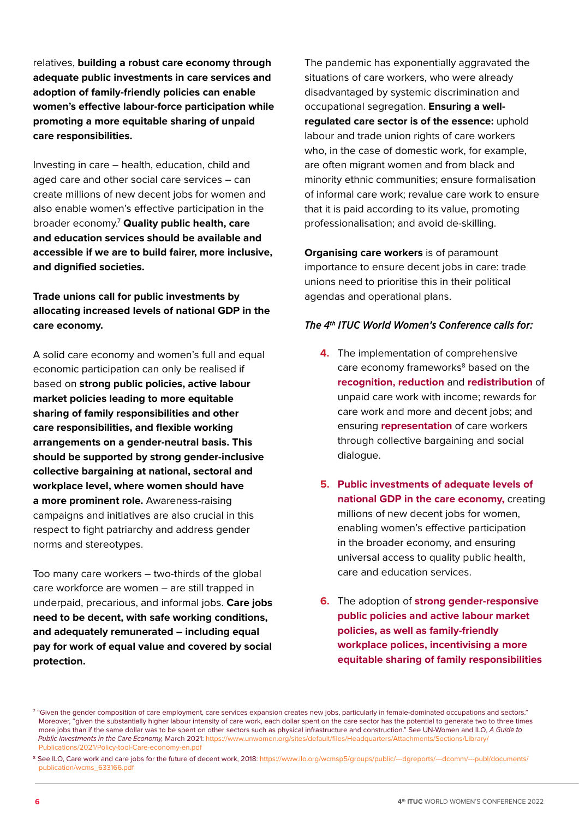relatives, **building a robust care economy through adequate public investments in care services and adoption of family-friendly policies can enable women's effective labour-force participation while promoting a more equitable sharing of unpaid care responsibilities.** 

Investing in care – health, education, child and aged care and other social care services – can create millions of new decent jobs for women and also enable women's effective participation in the broader economy.7 **Quality public health, care and education services should be available and accessible if we are to build fairer, more inclusive, and dignified societies.** 

**Trade unions call for public investments by allocating increased levels of national GDP in the care economy.**

A solid care economy and women's full and equal economic participation can only be realised if based on **strong public policies, active labour market policies leading to more equitable sharing of family responsibilities and other care responsibilities, and flexible working arrangements on a gender-neutral basis. This should be supported by strong gender-inclusive collective bargaining at national, sectoral and workplace level, where women should have a more prominent role.** Awareness-raising campaigns and initiatives are also crucial in this respect to fight patriarchy and address gender norms and stereotypes.

Too many care workers – two-thirds of the global care workforce are women – are still trapped in underpaid, precarious, and informal jobs. **Care jobs need to be decent, with safe working conditions, and adequately remunerated – including equal pay for work of equal value and covered by social protection.**

The pandemic has exponentially aggravated the situations of care workers, who were already disadvantaged by systemic discrimination and occupational segregation. **Ensuring a wellregulated care sector is of the essence:** uphold labour and trade union rights of care workers who, in the case of domestic work, for example, are often migrant women and from black and minority ethnic communities; ensure formalisation of informal care work; revalue care work to ensure that it is paid according to its value, promoting professionalisation; and avoid de-skilling.

**Organising care workers** is of paramount importance to ensure decent jobs in care: trade unions need to prioritise this in their political agendas and operational plans.

- **4.** The implementation of comprehensive care economy frameworks<sup>8</sup> based on the **recognition, reduction** and **redistribution** of unpaid care work with income; rewards for care work and more and decent jobs; and ensuring **representation** of care workers through collective bargaining and social dialogue.
- **5. Public investments of adequate levels of national GDP in the care economy,** creating millions of new decent jobs for women, enabling women's effective participation in the broader economy, and ensuring universal access to quality public health, care and education services.
- **6.** The adoption of **strong gender-responsive public policies and active labour market policies, as well as family-friendly workplace polices, incentivising a more equitable sharing of family responsibilities**

 $^{\rm 7}$  "Given the gender composition of care employment, care services expansion creates new jobs, particularly in female-dominated occupations and sectors." Moreover, "given the substantially higher labour intensity of care work, each dollar spent on the care sector has the potential to generate two to three times more jobs than if the same dollar was to be spent on other sectors such as physical infrastructure and construction." See UN-Women and ILO, *A Guide to Public Investments in the Care Economy,* March 2021: [https://www.unwomen.org/sites/default/files/Headquarters/Attachments/Sections/Library/](https://www.unwomen.org/sites/default/files/Headquarters/Attachments/Sections/Library/Publications/2021/Policy-tool-Care-economy-en.pdf)  [Publications/2021/Policy-tool-Care-economy-en.pdf](https://www.unwomen.org/sites/default/files/Headquarters/Attachments/Sections/Library/Publications/2021/Policy-tool-Care-economy-en.pdf) 

<sup>&</sup>lt;sup>8</sup> See ILO, Care work and care jobs for the future of decent work, 2018: [https://www.ilo.org/wcmsp5/groups/public/---dgreports/---dcomm/---publ/documents/](https://www.ilo.org/wcmsp5/groups/public/---dgreports/---dcomm/---publ/documents/publication/wcms_633166.pdf)  [publication/wcms\\_633166.pdf](https://www.ilo.org/wcmsp5/groups/public/---dgreports/---dcomm/---publ/documents/publication/wcms_633166.pdf)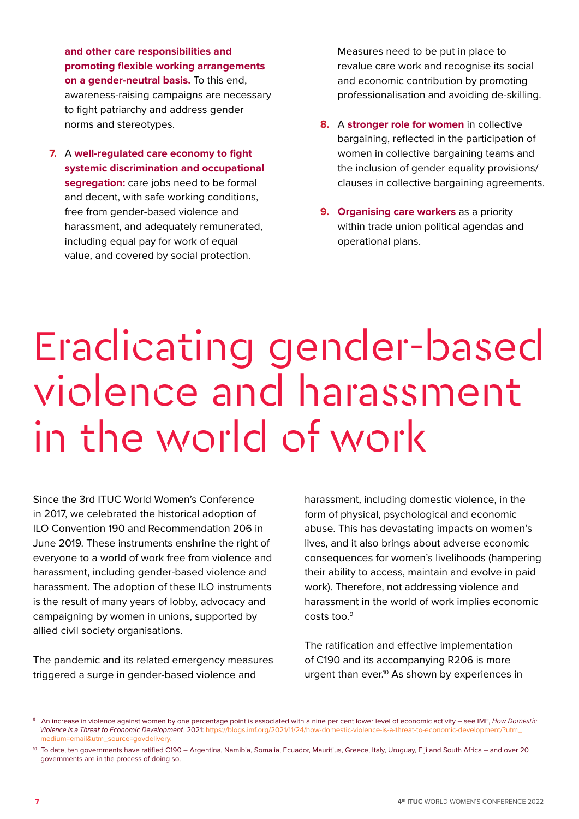<span id="page-6-0"></span>**and other care responsibilities and promoting flexible working arrangements on a gender-neutral basis.** To this end, awareness-raising campaigns are necessary to fight patriarchy and address gender norms and stereotypes.

A **well-regulated care economy to fight 7. systemic discrimination and occupational segregation:** care jobs need to be formal and decent, with safe working conditions, free from gender-based violence and harassment, and adequately remunerated, including equal pay for work of equal value, and covered by social protection.

Measures need to be put in place to revalue care work and recognise its social and economic contribution by promoting professionalisation and avoiding de-skilling.

- **8.** A **stronger role for women** in collective bargaining, reflected in the participation of women in collective bargaining teams and the inclusion of gender equality provisions/ clauses in collective bargaining agreements.
- **9. Organising care workers** as a priority within trade union political agendas and operational plans.

### Eradicating gender-based violence and harassment in the world of work

Since the 3rd ITUC World Women's Conference in 2017, we celebrated the historical adoption of ILO Convention 190 and Recommendation 206 in June 2019. These instruments enshrine the right of everyone to a world of work free from violence and harassment, including gender-based violence and harassment. The adoption of these ILO instruments is the result of many years of lobby, advocacy and campaigning by women in unions, supported by allied civil society organisations.

The pandemic and its related emergency measures triggered a surge in gender-based violence and

harassment, including domestic violence, in the form of physical, psychological and economic abuse. This has devastating impacts on women's lives, and it also brings about adverse economic consequences for women's livelihoods (hampering their ability to access, maintain and evolve in paid work). Therefore, not addressing violence and harassment in the world of work implies economic costs too.9

The ratification and effective implementation of C190 and its accompanying R206 is more urgent than ever.<sup>10</sup> As shown by experiences in

<sup>9</sup> An increase in violence against women by one percentage point is associated with a nine per cent lower level of economic activity – see IMF, *How Domestic Violence is a Threat to Economic Development*, 2021: [https://blogs.imf.org/2021/11/24/how-domestic-violence-is-a-threat-to-economic-development/?utm\\_](https://blogs.imf.org/2021/11/24/how-domestic-violence-is-a-threat-to-economic-development/?utm_medium=email&utm_source=govdelivery)  [medium=email&utm\\_source=govdelivery.](https://blogs.imf.org/2021/11/24/how-domestic-violence-is-a-threat-to-economic-development/?utm_medium=email&utm_source=govdelivery)

<sup>&</sup>lt;sup>10</sup> To date, ten governments have ratified C190 – Argentina, Namibia, Somalia, Ecuador, Mauritius, Greece, Italy, Uruguay, Fiji and South Africa – and over 20 governments are in the process of doing so.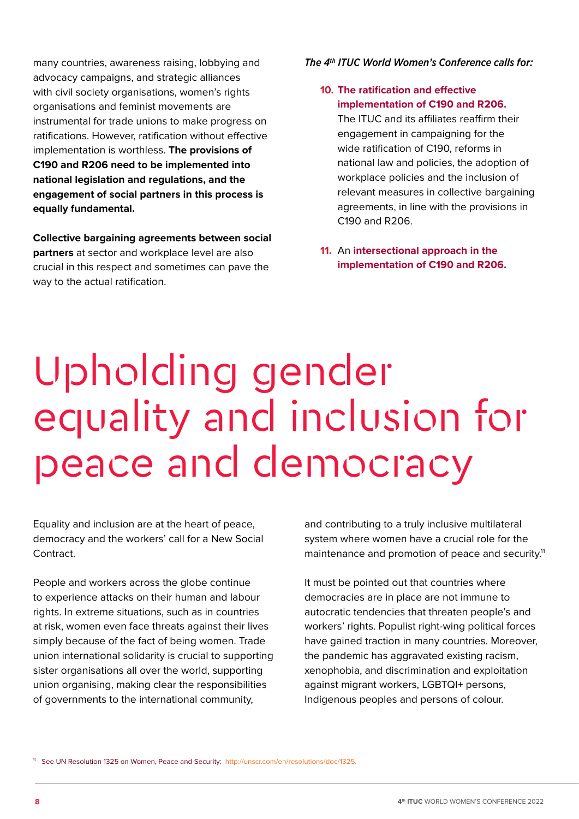<span id="page-7-0"></span>many countries, awareness raising, lobbying and advocacy campaigns, and strategic alliances with civil society organisations, women's rights organisations and feminist movements are instrumental for trade unions to make progress on ratifications. However, ratification without effective implementation is worthless. **The provisions of C190 and R206 need to be implemented into national legislation and regulations, and the engagement of social partners in this process is equally fundamental.** 

**Collective bargaining agreements between social partners** at sector and workplace level are also crucial in this respect and sometimes can pave the way to the actual ratification.

#### *The 4th ITUC World Women's Conference calls for:*

### **10. The ratification and effective implementation of C190 and R206.**

The ITUC and its affiliates reaffirm their engagement in campaigning for the wide ratification of C190, reforms in national law and policies, the adoption of workplace policies and the inclusion of relevant measures in collective bargaining agreements, in line with the provisions in C190 and R206.

**11.** An **intersectional approach in the implementation of C190 and R206.**

# Upholding gender equality and inclusion for peace and democracy

Equality and inclusion are at the heart of peace, democracy and the workers' call for a New Social Contract.

People and workers across the globe continue to experience attacks on their human and labour rights. In extreme situations, such as in countries at risk, women even face threats against their lives simply because of the fact of being women. Trade union international solidarity is crucial to supporting sister organisations all over the world, supporting union organising, making clear the responsibilities of governments to the international community,

and contributing to a truly inclusive multilateral system where women have a crucial role for the maintenance and promotion of peace and security.<sup>11</sup>

It must be pointed out that countries where democracies are in place are not immune to autocratic tendencies that threaten people's and workers' rights. Populist right-wing political forces have gained traction in many countries. Moreover, the pandemic has aggravated existing racism, xenophobia, and discrimination and exploitation against migrant workers, LGBTQI+ persons, Indigenous peoples and persons of colour.

11 See UN Resolution 1325 on Women, Peace and Security: [http://unscr.com/en/resolutions/doc/1325.](http://unscr.com/en/resolutions/doc/1325)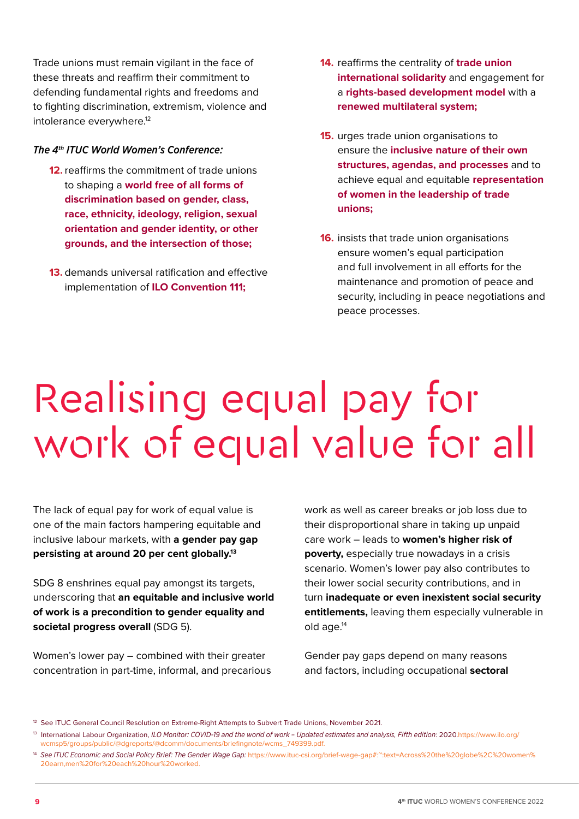<span id="page-8-0"></span>Trade unions must remain vigilant in the face of these threats and reaffirm their commitment to defending fundamental rights and freedoms and to fighting discrimination, extremism, violence and intolerance everywhere.<sup>12</sup>

#### *The 4th ITUC World Women's Conference:*

- **12.** reaffirms the commitment of trade unions to shaping a **world free of all forms of discrimination based on gender, class, race, ethnicity, ideology, religion, sexual orientation and gender identity, or other grounds, and the intersection of those;**
- **13.** demands universal ratification and effective implementation of **ILO Convention 111;**
- **14.** reaffirms the centrality of **trade union international solidarity** and engagement for a **rights-based development model** with a **renewed multilateral system;**
- **15.** urges trade union organisations to ensure the **inclusive nature of their own structures, agendas, and processes** and to achieve equal and equitable **representation of women in the leadership of trade unions;**
- **16.** insists that trade union organisations ensure women's equal participation and full involvement in all efforts for the maintenance and promotion of peace and security, including in peace negotiations and peace processes.

# Realising equal pay for work of equal value for all

The lack of equal pay for work of equal value is one of the main factors hampering equitable and inclusive labour markets, with **a gender pay gap persisting at around 20 per cent globally.13** 

SDG 8 enshrines equal pay amongst its targets, underscoring that **an equitable and inclusive world of work is a precondition to gender equality and societal progress overall** (SDG 5).

Women's lower pay – combined with their greater concentration in part-time, informal, and precarious work as well as career breaks or job loss due to their disproportional share in taking up unpaid care work – leads to **women's higher risk of poverty,** especially true nowadays in a crisis scenario. Women's lower pay also contributes to their lower social security contributions, and in turn **inadequate or even inexistent social security entitlements,** leaving them especially vulnerable in old age.<sup>14</sup>

Gender pay gaps depend on many reasons and factors, including occupational **sectoral** 

<sup>&</sup>lt;sup>12</sup> See ITUC General Council Resolution on Extreme-Right Attempts to Subvert Trade Unions, November 2021.

<sup>&</sup>lt;sup>13</sup> International Labour Organization, *ILO Monitor: COVID-19 and the world of work - Updated estimates and analysis, Fifth edition: 2020[.https://www.ilo.org/](https://www.ilo.org/wcmsp5/groups/public/@dgreports/@dcomm/documents/briefingnote/wcms_749399.pdf)*  [wcmsp5/groups/public/@dgreports/@dcomm/documents/briefingnote/wcms\\_749399.pdf.](https://www.ilo.org/wcmsp5/groups/public/@dgreports/@dcomm/documents/briefingnote/wcms_749399.pdf)

<sup>14</sup> *See ITUC Economic and Social Policy Brief: The Gender Wage Gap:* [https://www.ituc-csi.org/brief-wage-gap#:~:text=Across%20the%20globe%2C%20women%](https://www.ituc-csi.org/brief-wage-gap#:~:text=Across%20the%20globe%2C%20women%20earn,men%20for%20each%20hour%20worked)  [20earn,men%20for%20each%20hour%20worked.](https://www.ituc-csi.org/brief-wage-gap#:~:text=Across%20the%20globe%2C%20women%20earn,men%20for%20each%20hour%20worked)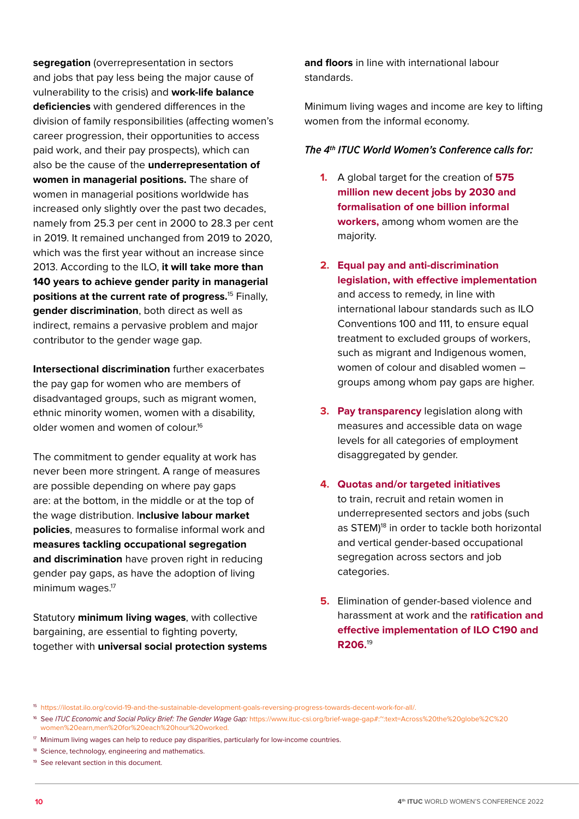**segregation** (overrepresentation in sectors and jobs that pay less being the major cause of vulnerability to the crisis) and **work-life balance deficiencies** with gendered differences in the division of family responsibilities (affecting women's career progression, their opportunities to access paid work, and their pay prospects), which can also be the cause of the **underrepresentation of women in managerial positions.** The share of women in managerial positions worldwide has increased only slightly over the past two decades, namely from 25.3 per cent in 2000 to 28.3 per cent in 2019. It remained unchanged from 2019 to 2020, which was the first year without an increase since 2013. According to the ILO, **it will take more than 140 years to achieve gender parity in managerial positions at the current rate of progress.**15 Finally, **gender discrimination**, both direct as well as indirect, remains a pervasive problem and major contributor to the gender wage gap.

**Intersectional discrimination** further exacerbates the pay gap for women who are members of disadvantaged groups, such as migrant women, ethnic minority women, women with a disability, older women and women of colour.16

The commitment to gender equality at work has never been more stringent. A range of measures are possible depending on where pay gaps are: at the bottom, in the middle or at the top of the wage distribution. I**nclusive labour market policies**, measures to formalise informal work and **measures tackling occupational segregation and discrimination** have proven right in reducing gender pay gaps, as have the adoption of living minimum wages.<sup>17</sup>

Statutory **minimum living wages**, with collective bargaining, are essential to fighting poverty, together with **universal social protection systems** 

**and floors** in line with international labour standards.

Minimum living wages and income are key to lifting women from the informal economy.

- **1.** A global target for the creation of **575 million new decent jobs by 2030 and formalisation of one billion informal workers,** among whom women are the majority.
- **2. Equal pay and anti-discrimination legislation, with effective implementation** and access to remedy, in line with international labour standards such as ILO Conventions 100 and 111, to ensure equal treatment to excluded groups of workers, such as migrant and Indigenous women, women of colour and disabled women – groups among whom pay gaps are higher.
- **3. Pay transparency** legislation along with measures and accessible data on wage levels for all categories of employment disaggregated by gender.
- **4. Quotas and/or targeted initiatives** to train, recruit and retain women in underrepresented sectors and jobs (such as STEM)<sup>18</sup> in order to tackle both horizontal and vertical gender-based occupational segregation across sectors and job categories.
- **5.** Elimination of gender-based violence and harassment at work and the **ratification and effective implementation of ILO C190 and R206.**<sup>19</sup>

<sup>15</sup> [https://ilostat.ilo.org/covid-19-and-the-sustainable-development-goals-reversing-progress-towards-decent-work-for-all/.](https://ilostat.ilo.org/covid-19-and-the-sustainable-development-goals-reversing-progress-towards-decent-work-for-all/)

<sup>16</sup> See *ITUC Economic and Social Policy Brief: The Gender Wage Gap:* [https://www.ituc-csi.org/brief-wage-gap#:~:text=Across%20the%20globe%2C%20](https://www.ituc-csi.org/brief-wage-gap#:~:text=Across%20the%20globe%2C%20women%20earn,men%20for%20each%20hour%20worked)  [women%20earn,men%20for%20each%20hour%20worked.](https://www.ituc-csi.org/brief-wage-gap#:~:text=Across%20the%20globe%2C%20women%20earn,men%20for%20each%20hour%20worked) 

<sup>&</sup>lt;sup>[17](https://www.ituc-csi.org/brief-wage-gap#:~:text=Across%20the%20globe%2C%20women%20earn,men%20for%20each%20hour%20worked)</sup> Minimum living wages can help to reduce pay disparities, particularly for low-income countries.

<sup>&</sup>lt;sup>18</sup> Science, technology, engineering and mathematics.

<sup>&</sup>lt;sup>19</sup> See relevant section in this document.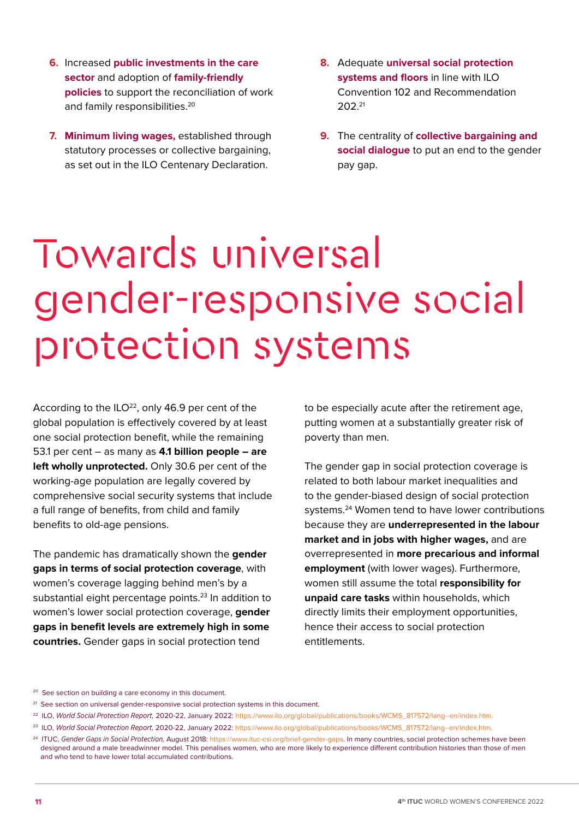- <span id="page-10-0"></span>**6.** Increased public investments in the care **sector** and adoption of **family-friendly policies** to support the reconciliation of work and family responsibilities.<sup>20</sup>
- **Minimum living wages,** established through **7.** statutory processes or collective bargaining, as set out in the ILO Centenary Declaration.
- **8.** Adequate **universal social protection systems and floors** in line with ILO Convention 102 and Recommendation 20221
- **9.** The centrality of **collective bargaining and social dialogue** to put an end to the gender pay gap.

### Towards universal gender-responsive social protection systems

According to the  $ILO<sup>22</sup>$ , only 46.9 per cent of the global population is effectively covered by at least one social protection benefit, while the remaining 53.1 per cent – as many as **4.1 billion people – are left wholly unprotected.** Only 30.6 per cent of the working-age population are legally covered by comprehensive social security systems that include a full range of benefits, from child and family benefits to old-age pensions.

The pandemic has dramatically shown the **gender gaps in terms of social protection coverage**, with women's coverage lagging behind men's by a substantial eight percentage points.<sup>23</sup> In addition to women's lower social protection coverage, **gender gaps in benefit levels are extremely high in some countries.** Gender gaps in social protection tend

to be especially acute after the retirement age, putting women at a substantially greater risk of poverty than men.

The gender gap in social protection coverage is related to both labour market inequalities and to the gender-biased design of social protection systems.24 Women tend to have lower contributions because they are **underrepresented in the labour market and in jobs with higher wages,** and are overrepresented in **more precarious and informal employment** (with lower wages). Furthermore, women still assume the total **responsibility for unpaid care tasks** within households, which directly limits their employment opportunities, hence their access to social protection entitlements.

- <sup>21</sup> See section on universal gender-responsive social protection systems in this document.
- 22 ILO, *World Social Protection Report,* 2020-22, January 2022: [https://www.ilo.org/global/publications/books/WCMS\\_817572/lang--en/index.htm.](https://www.ilo.org/global/publications/books/WCMS_817572/lang--en/index.htm)
- 23 ILO, *World Social Protection Report,* 2020-22, January 2022: [https://www.ilo.org/global/publications/books/WCMS\\_817572/lang--en/index.htm.](https://www.ilo.org/global/publications/books/WCMS_817572/lang--en/index.htm)
- 24 ITUC, *Gender Gaps in Social Protection,* August 2018: <https://www.ituc-csi.org/brief-gender-gaps>. In many countries, social protection schemes have been designed around a male breadwinner model. This penalises women, who are more likely to experience different contribution histories than those of men and who tend to have lower total accumulated contributions.

<sup>&</sup>lt;sup>20</sup> See section on building a care economy in this document.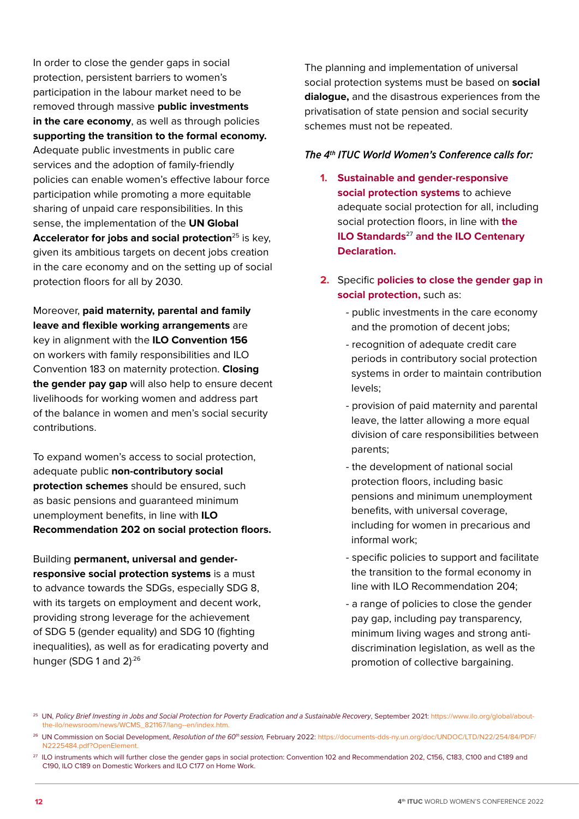In order to close the gender gaps in social protection, persistent barriers to women's participation in the labour market need to be removed through massive **public investments in the care economy**, as well as through policies **supporting the transition to the formal economy.** Adequate public investments in public care services and the adoption of family-friendly policies can enable women's effective labour force participation while promoting a more equitable sharing of unpaid care responsibilities. In this sense, the implementation of the **UN Global Accelerator for jobs and social protection**<sup>25</sup> is key, given its ambitious targets on decent jobs creation in the care economy and on the setting up of social protection floors for all by 2030.

Moreover, **paid maternity, parental and family leave and flexible working arrangements** are key in alignment with the **ILO Convention 156**  on workers with family responsibilities and ILO Convention 183 on maternity protection. **Closing the gender pay gap** will also help to ensure decent livelihoods for working women and address part of the balance in women and men's social security contributions.

To expand women's access to social protection, adequate public **non-contributory social protection schemes** should be ensured, such as basic pensions and guaranteed minimum unemployment benefits, in line with **ILO Recommendation 202 on social protection floors.** 

Building **permanent, universal and genderresponsive social protection systems** is a must to advance towards the SDGs, especially SDG 8, with its targets on employment and decent work, providing strong leverage for the achievement of SDG 5 (gender equality) and SDG 10 (fighting inequalities), as well as for eradicating poverty and hunger (SDG 1 and 2).<sup>26</sup>

The planning and implementation of universal social protection systems must be based on **social dialogue,** and the disastrous experiences from the privatisation of state pension and social security schemes must not be repeated.

- **1. Sustainable and gender-responsive social protection systems** to achieve adequate social protection for all, including social protection floors, in line with **the ILO Standards**<sup>27</sup> **and the ILO Centenary Declaration.**
- **2.** Specific **policies to close the gender gap in social protection,** such as:
	- public investments in the care economy and the promotion of decent jobs;
	- recognition of adequate credit care periods in contributory social protection systems in order to maintain contribution levels;
	- provision of paid maternity and parental leave, the latter allowing a more equal division of care responsibilities between parents;
	- the development of national social protection floors, including basic pensions and minimum unemployment benefits, with universal coverage, including for women in precarious and informal work;
	- specific policies to support and facilitate the transition to the formal economy in line with ILO Recommendation 204;
	- a range of policies to close the gender pay gap, including pay transparency, minimum living wages and strong anti discrimination legislation, as well as the promotion of collective bargaining.

<sup>25</sup> UN, *Policy Brief Investing in Jobs and Social Protection for Poverty Eradication and a Sustainable Recovery*, September 2021: [https://www.ilo.org/global/about](https://www.ilo.org/global/about-the-ilo/newsroom/news/WCMS_821167/lang--en/index.htm)  [the-ilo/newsroom/news/WCMS\\_821167/lang--en/index.htm.](https://www.ilo.org/global/about-the-ilo/newsroom/news/WCMS_821167/lang--en/index.htm)

<sup>26</sup> UN Commission on Social Development, *Resolution of the 60th session,* February 2022: [https://documents-dds-ny.un.org/doc/UNDOC/LTD/N22/254/84/PDF/](https://documents-dds-ny.un.org/doc/UNDOC/LTD/N22/254/84/PDF/N2225484.pdf?OpenElement)  [N2225484.pdf?OpenElement.](https://documents-dds-ny.un.org/doc/UNDOC/LTD/N22/254/84/PDF/N2225484.pdf?OpenElement)

<sup>&</sup>lt;sup>27</sup> ILO instruments which will further close the gender gaps in social protection: Convention 102 and Recommendation 202, C156, C183, C100 and C189 and  [C190, ILO C189 on Domestic Workers and ILO C177 on Home Work.](https://documents-dds-ny.un.org/doc/UNDOC/LTD/N22/254/84/PDF/N2225484.pdf?OpenElement)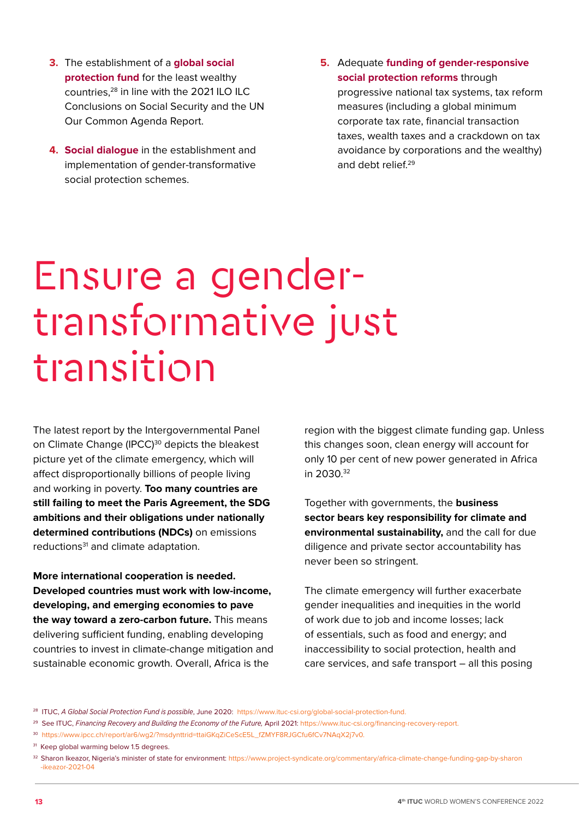- <span id="page-12-0"></span>The establishment of a **global social 3. protection fund** for the least wealthy countries,28 in line with the 2021 ILO ILC Conclusions on Social Security and the UN Our Common Agenda Report.
- **Social dialogue** in the establishment and **4.** implementation of gender-transformative social protection schemes.
- **5.** Adequate **funding of gender-responsive social protection reforms** through progressive national tax systems, tax reform measures (including a global minimum corporate tax rate, financial transaction taxes, wealth taxes and a crackdown on tax avoidance by corporations and the wealthy) and debt relief.<sup>29</sup>

### Ensure a gendertransformative just transition

The latest report by the Intergovernmental Panel on Climate Change (IPCC)<sup>30</sup> depicts the bleakest picture yet of the climate emergency, which will affect disproportionally billions of people living and working in poverty. **Too many countries are still failing to meet the Paris Agreement, the SDG ambitions and their obligations under nationally determined contributions (NDCs)** on emissions reductions<sup>31</sup> and climate adaptation.

**More international cooperation is needed. Developed countries must work with low-income, developing, and emerging economies to pave the way toward a zero-carbon future.** This means delivering sufficient funding, enabling developing countries to invest in climate-change mitigation and sustainable economic growth. Overall, Africa is the

region with the biggest climate funding gap. Unless this changes soon, clean energy will account for only 10 per cent of new power generated in Africa in 2030.32

Together with governments, the **business sector bears key responsibility for climate and environmental sustainability,** and the call for due diligence and private sector accountability has never been so stringent.

The climate emergency will further exacerbate gender inequalities and inequities in the world of work due to job and income losses; lack of essentials, such as food and energy; and inaccessibility to social protection, health and care services, and safe transport – all this posing

- 29 See ITUC, *Financing Recovery and Building the Economy of the Future,* April 2021: [https://www.ituc-csi.org/financing-recovery-report.](https://www.ituc-csi.org/financing-recovery-report)
- <sup>30</sup> https://www.ipcc.ch/report/ar6/wg2/?msdynttrid=ttaiGKgZiCeScE5L\_fZMYF8RJGCfu6fCv7NAgX2j7v0.

<sup>28</sup> ITUC, *A Global Social Protection Fund is possible*, June 2020: [https://www.ituc-csi.org/global-social-protection-fund.](https://www.ituc-csi.org/global-social-protection-fund)

<sup>&</sup>lt;sup>31</sup> Keep global warming below 1.5 degrees.

<sup>32</sup> Sharon Ikeazor, Nigeria's minister of state for environment: [https://www.project-syndicate.org/commentary/africa-climate-change-funding-gap-by-sharon](https://www.project-syndicate.org/commentary/africa-climate-change-funding-gap-by-sharon-ikeazor-2021-04)  [-ikeazor-2021-04](https://www.project-syndicate.org/commentary/africa-climate-change-funding-gap-by-sharon-ikeazor-2021-04)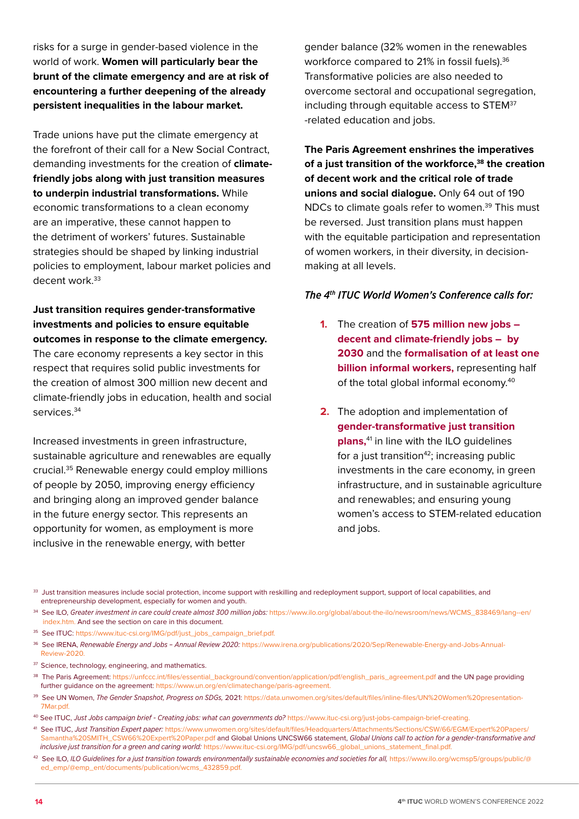risks for a surge in gender-based violence in the world of work. **Women will particularly bear the brunt of the climate emergency and are at risk of encountering a further deepening of the already persistent inequalities in the labour market.**

Trade unions have put the climate emergency at the forefront of their call for a New Social Contract, demanding investments for the creation of **climatefriendly jobs along with just transition measures to underpin industrial transformations.** While economic transformations to a clean economy are an imperative, these cannot happen to the detriment of workers' futures. Sustainable strategies should be shaped by linking industrial policies to employment, labour market policies and decent work.<sup>33</sup>

**Just transition requires gender-transformative investments and policies to ensure equitable outcomes in response to the climate emergency.** The care economy represents a key sector in this respect that requires solid public investments for the creation of almost 300 million new decent and climate-friendly jobs in education, health and social services<sup>34</sup>

Increased investments in green infrastructure, sustainable agriculture and renewables are equally crucial.35 Renewable energy could employ millions of people by 2050, improving energy efficiency and bringing along an improved gender balance in the future energy sector. This represents an opportunity for women, as employment is more inclusive in the renewable energy, with better

gender balance (32% women in the renewables workforce compared to 21% in fossil fuels).<sup>36</sup> Transformative policies are also needed to overcome sectoral and occupational segregation, including through equitable access to STEM<sup>37</sup> -related education and jobs.

**The Paris Agreement enshrines the imperatives**  of a just transition of the workforce,<sup>38</sup> the creation **of decent work and the critical role of trade unions and social dialogue.** Only 64 out of 190 NDCs to climate goals refer to women.39 This must be reversed. Just transition plans must happen with the equitable participation and representation of women workers, in their diversity, in decisionmaking at all levels.

- **1.** The creation of **575 million new jobs decent and climate-friendly jobs – by 2030** and the **formalisation of at least one billion informal workers,** representing half of the total global informal economy.40
- **2.** The adoption and implementation of **gender-transformative just transition plans,**<sup>41</sup> in line with the ILO guidelines for a just transition $42$ ; increasing public investments in the care economy, in green infrastructure, and in sustainable agriculture and renewables; and ensuring young women's access to STEM-related education and jobs.
- <sup>33</sup> Just transition measures include social protection, income support with reskilling and redeployment support, support of local capabilities, and entrepreneurship development, especially for women and youth.
- 34 See ILO, *Greater investment in care could create almost 300 million jobs:* [https://www.ilo.org/global/about-the-ilo/newsroom/news/WCMS\\_838469/lang--en/](https://www.ilo.org/global/about-the-ilo/newsroom/news/WCMS_838469/lang--en/index.htm)  [index.htm.](https://www.ilo.org/global/about-the-ilo/newsroom/news/WCMS_838469/lang--en/index.htm) And see the section on care in this document.
- 35 See ITUC: [https://www.ituc-csi.org/IMG/pdf/just\\_jobs\\_campaign\\_brief.pdf.](https://www.ituc-csi.org/IMG/pdf/just_jobs_campaign_brief.pdf)
- 36 See IRENA, *Renewable Energy and Jobs Annual Review 2020:* [https://www.irena.org/publications/2020/Sep/Renewable-Energy-and-Jobs-Annual-](https://www.irena.org/publications/2020/Sep/Renewable-Energy-and-Jobs-Annual-Review-2020)  [Review-2020.](https://www.irena.org/publications/2020/Sep/Renewable-Energy-and-Jobs-Annual-Review-2020)
- <sup>37</sup> Science, technology, engineering, and mathematics.
- <sup>38</sup> The Paris Agreement: [https://unfccc.int/files/essential\\_background/convention/application/pdf/english\\_paris\\_agreement.pdf](https://unfccc.int/files/essential_background/convention/application/pdf/english_paris_agreement.pdf) and the UN page providing further guidance on the agreement: [https://www.un.org/en/climatechange/paris-agreement.](https://www.un.org/en/climatechange/paris-agreement)
- 39 See UN Women, *The Gender Snapshot, Progress on SDGs,* 2021: [https://data.unwomen.org/sites/default/files/inline-files/UN%20Women%20presentation-](https://data.unwomen.org/sites/default/files/inline-files/UN%20Women%20presentation-7Mar.pdf)  [7Mar.pdf.](https://data.unwomen.org/sites/default/files/inline-files/UN%20Women%20presentation-7Mar.pdf)
- 40 See ITUC, *Just Jobs campaign brief Creating jobs: what can governments do?* [https://www.ituc-csi.org/just-jobs-campaign-brief-creating.](https://www.ituc-csi.org/just-jobs-campaign-brief-creating)
- 41 See ITUC, *Just Transition Expert paper:* [https://www.unwomen.org/sites/default/files/Headquarters/Attachments/Sections/CSW/66/EGM/Expert%20Papers/](https://www.unwomen.org/sites/default/files/Headquarters/Attachments/Sections/CSW/66/EGM/Expert%20Papers/Samantha%20SMITH_CSW66%20Expert%20Paper.pdf)  [Samantha%20SMITH\\_CSW66%20Expert%20Paper.pdf](https://www.unwomen.org/sites/default/files/Headquarters/Attachments/Sections/CSW/66/EGM/Expert%20Papers/Samantha%20SMITH_CSW66%20Expert%20Paper.pdf) and Global Unions UNCSW66 statement, *Global Unions call to action for a gender-transformative and inclusive just transition for a green and caring world:* [https://www.ituc-csi.org/IMG/pdf/uncsw66\\_global\\_unions\\_statement\\_final.pdf.](https://www.ituc-csi.org/IMG/pdf/uncsw66_global_unions_statement_final.pdf)
- 42 See ILO, *ILO Guidelines for a just transition towards environmentally sustainable economies and societies for all,* [https://www.ilo.org/wcmsp5/groups/public/@](https://www.ilo.org/wcmsp5/groups/public/@ed_emp/@emp_ent/documents/publication/wcms_432859.pdf) ed\_emp/@emp\_ent/documents/publication/wcms\_432859.pdf.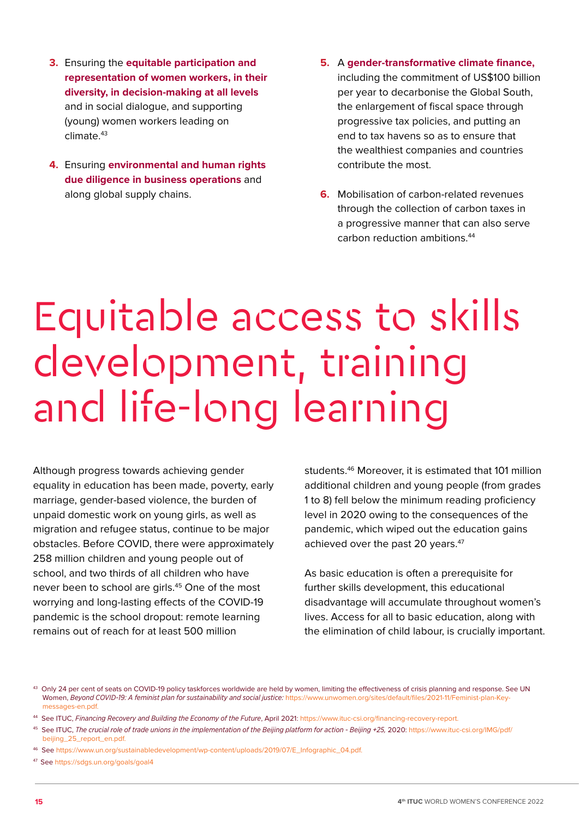- <span id="page-14-0"></span>Ensuring the **equitable participation and 3. representation of women workers, in their diversity, in decision-making at all levels** and in social dialogue, and supporting (young) women workers leading on  $climate<sup>43</sup>$
- Ensuring **environmental and human rights 4. due diligence in business operations** and along global supply chains.
- **5.** A **gender-transformative climate finance,** including the commitment of US\$100 billion per year to decarbonise the Global South, the enlargement of fiscal space through progressive tax policies, and putting an end to tax havens so as to ensure that the wealthiest companies and countries contribute the most.
- **6.** Mobilisation of carbon-related revenues through the collection of carbon taxes in a progressive manner that can also serve carbon reduction ambitions.44

### Equitable access to skills development, training and life-long learning

Although progress towards achieving gender equality in education has been made, poverty, early marriage, gender-based violence, the burden of unpaid domestic work on young girls, as well as migration and refugee status, continue to be major obstacles. Before COVID, there were approximately 258 million children and young people out of school, and two thirds of all children who have never been to school are girls.<sup>45</sup> One of the most worrying and long-lasting effects of the COVID-19 pandemic is the school dropout: remote learning remains out of reach for at least 500 million

students.46 Moreover, it is estimated that 101 million additional children and young people (from grades 1 to 8) fell below the minimum reading proficiency level in 2020 owing to the consequences of the pandemic, which wiped out the education gains achieved over the past 20 years.<sup>47</sup>

As basic education is often a prerequisite for further skills development, this educational disadvantage will accumulate throughout women's lives. Access for all to basic education, along with the elimination of child labour, is crucially important.

47 See <https://sdgs.un.org/goals/goal4>

<sup>43</sup> Only 24 per cent of seats on COVID-19 policy taskforces worldwide are held by women, limiting the effectiveness of crisis planning and response. See UN Women, *Beyond COVID-19: A feminist plan for sustainability and social justice:* [https://www.unwomen.org/sites/default/files/2021-11/Feminist-plan-Key](https://www.unwomen.org/sites/default/files/2021-11/Feminist-plan-Key-messages-en.pdf)  [messages-en.pdf.](https://www.unwomen.org/sites/default/files/2021-11/Feminist-plan-Key-messages-en.pdf)

<sup>44</sup> See ITUC, Financing Recovery and Building the Economy of the Future, April 2021: [https://www.ituc-csi.org/financing-recovery-report.](https://www.ituc-csi.org/financing-recovery-report)

<sup>45</sup> See ITUC, *The crucial role of trade unions in the implementation of the Beijing platform for action - Beijing +25,* 2020: [https://www.ituc-csi.org/IMG/pdf/](https://www.ituc-csi.org/IMG/pdf/beijing_25_report_en.pdf)  [beijing\\_25\\_report\\_en.pdf.](https://www.ituc-csi.org/IMG/pdf/beijing_25_report_en.pdf)

<sup>46</sup> See [https://www.un.org/sustainabledevelopment/wp-content/uploads/2019/07/E\\_Infographic\\_04.pdf.](https://www.un.org/sustainabledevelopment/wp-content/uploads/2019/07/E_Infographic_04.pdf)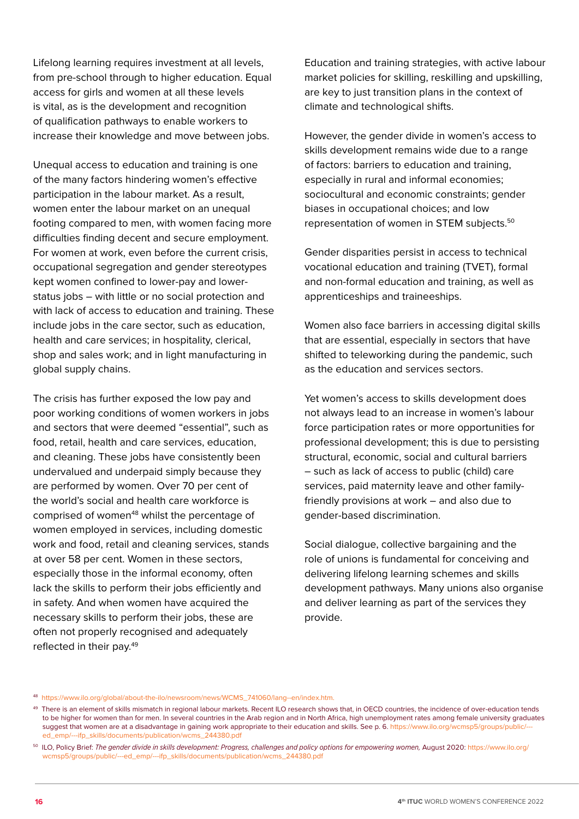Lifelong learning requires investment at all levels, from pre-school through to higher education. Equal access for girls and women at all these levels is vital, as is the development and recognition of qualification pathways to enable workers to increase their knowledge and move between jobs.

Unequal access to education and training is one of the many factors hindering women's effective participation in the labour market. As a result, women enter the labour market on an unequal footing compared to men, with women facing more difficulties finding decent and secure employment. For women at work, even before the current crisis, occupational segregation and gender stereotypes kept women confined to lower-pay and lowerstatus jobs – with little or no social protection and with lack of access to education and training. These include jobs in the care sector, such as education, health and care services; in hospitality, clerical, shop and sales work; and in light manufacturing in global supply chains.

The crisis has further exposed the low pay and poor working conditions of women workers in jobs and sectors that were deemed "essential", such as food, retail, health and care services, education, and cleaning. These jobs have consistently been undervalued and underpaid simply because they are performed by women. Over 70 per cent of the world's social and health care workforce is comprised of women<sup>48</sup> whilst the percentage of women employed in services, including domestic work and food, retail and cleaning services, stands at over 58 per cent. Women in these sectors, especially those in the informal economy, often lack the skills to perform their jobs efficiently and in safety. And when women have acquired the necessary skills to perform their jobs, these are often not properly recognised and adequately reflected in their pay.49

Education and training strategies, with active labour market policies for skilling, reskilling and upskilling, are key to just transition plans in the context of climate and technological shifts.

However, the gender divide in women's access to skills development remains wide due to a range of factors: barriers to education and training, especially in rural and informal economies; sociocultural and economic constraints; gender biases in occupational choices; and low representation of women in STEM subjects.50

Gender disparities persist in access to technical vocational education and training (TVET), formal and non-formal education and training, as well as apprenticeships and traineeships.

Women also face barriers in accessing digital skills that are essential, especially in sectors that have shifted to teleworking during the pandemic, such as the education and services sectors.

Yet women's access to skills development does not always lead to an increase in women's labour force participation rates or more opportunities for professional development; this is due to persisting structural, economic, social and cultural barriers – such as lack of access to public (child) care services, paid maternity leave and other familyfriendly provisions at work – and also due to gender-based discrimination.

Social dialogue, collective bargaining and the role of unions is fundamental for conceiving and delivering lifelong learning schemes and skills development pathways. Many unions also organise and deliver learning as part of the services they provide.

50 ILO, Policy Brief: *The gender divide in skills development: Progress, challenges and policy options for empowering women,* August 2020: [https://www.ilo.org/](https://www.ilo.org/wcmsp5/groups/public/---ed_emp/---ifp_skills/documents/publication/wcms_244380.pdf)  [wcmsp5/groups/public/---ed\\_emp/---ifp\\_skills/documents/publication/wcms\\_244380.pdf](https://www.ilo.org/wcmsp5/groups/public/---ed_emp/---ifp_skills/documents/publication/wcms_244380.pdf)

<sup>48</sup> [https://www.ilo.org/global/about-the-ilo/newsroom/news/WCMS\\_741060/lang--en/index.htm.](https://www.ilo.org/global/about-the-ilo/newsroom/news/WCMS_741060/lang--en/index.htm)

<sup>&</sup>lt;sup>49</sup> There is an element of skills mismatch in regional labour markets. Recent ILO research shows that, in OECD countries, the incidence of over-education tends to be higher for women than for men. In several countries in the Arab region and in North Africa, high unemployment rates among female university graduates suggest that women are at a disadvantage in gaining work appropriate to their education and skills. See p. 6. https://www.ilo.org/wcmsp5/groups/public/- [ed\\_emp/---ifp\\_skills/documents/publication/wcms\\_244380.pdf](https://www.ilo.org/wcmsp5/groups/public/---ed_emp/---ifp_skills/documents/publication/wcms_244380.pdf)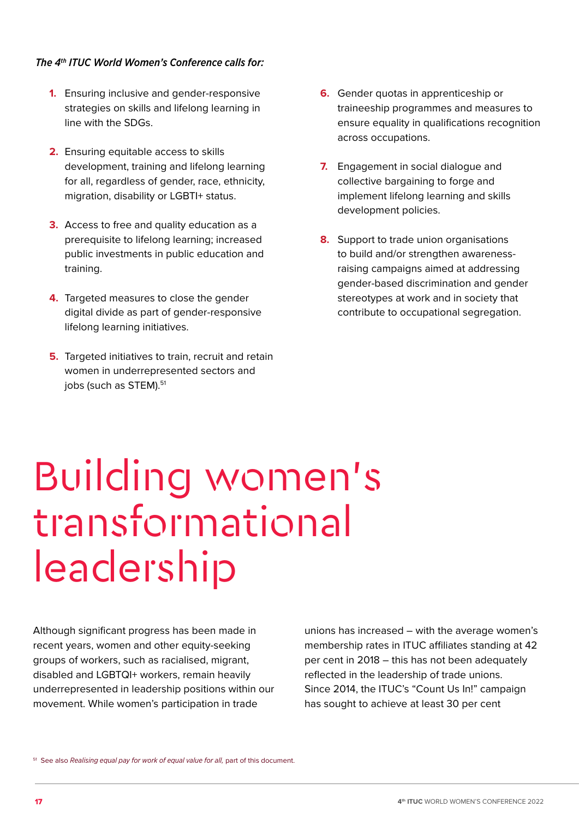### <span id="page-16-0"></span> *The 4th ITUC World Women's Conference calls for:*

- Ensuring inclusive and gender-responsive **1.** strategies on skills and lifelong learning in line with the SDGs.
- **2.** Ensuring equitable access to skills development, training and lifelong learning for all, regardless of gender, race, ethnicity, migration, disability or LGBTI+ status.
- **3.** Access to free and quality education as a prerequisite to lifelong learning; increased public investments in public education and training.
- **4.** Targeted measures to close the gender digital divide as part of gender-responsive lifelong learning initiatives.
- **5.** Targeted initiatives to train, recruit and retain women in underrepresented sectors and jobs (such as STEM).<sup>51</sup>
- **6.** Gender quotas in apprenticeship or traineeship programmes and measures to ensure equality in qualifications recognition across occupations.
- **7.** Engagement in social dialogue and collective bargaining to forge and implement lifelong learning and skills development policies.
- **8.** Support to trade union organisations to build and/or strengthen awarenessraising campaigns aimed at addressing gender-based discrimination and gender stereotypes at work and in society that contribute to occupational segregation.

## Building women's transformational leadership

Although significant progress has been made in recent years, women and other equity-seeking groups of workers, such as racialised, migrant, disabled and LGBTQI+ workers, remain heavily underrepresented in leadership positions within our movement. While women's participation in trade

unions has increased – with the average women's membership rates in ITUC affiliates standing at 42 per cent in 2018 – this has not been adequately reflected in the leadership of trade unions. Since 2014, the ITUC's "Count Us In!" campaign has sought to achieve at least 30 per cent

<sup>51</sup> See also *Realising equal pay for work of equal value for all*, part of this document.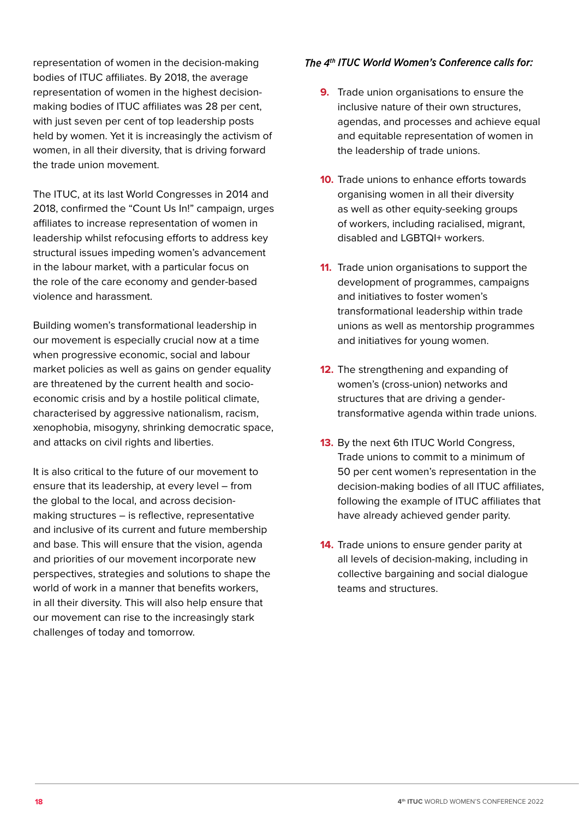representation of women in the decision-making bodies of ITUC affiliates. By 2018, the average representation of women in the highest decisionmaking bodies of ITUC affiliates was 28 per cent, with just seven per cent of top leadership posts held by women. Yet it is increasingly the activism of women, in all their diversity, that is driving forward the trade union movement.

The ITUC, at its last World Congresses in 2014 and 2018, confirmed the "Count Us In!" campaign, urges affiliates to increase representation of women in leadership whilst refocusing efforts to address key structural issues impeding women's advancement in the labour market, with a particular focus on the role of the care economy and gender-based violence and harassment.

Building women's transformational leadership in our movement is especially crucial now at a time when progressive economic, social and labour market policies as well as gains on gender equality are threatened by the current health and socioeconomic crisis and by a hostile political climate, characterised by aggressive nationalism, racism, xenophobia, misogyny, shrinking democratic space, and attacks on civil rights and liberties.

It is also critical to the future of our movement to ensure that its leadership, at every level – from the global to the local, and across decisionmaking structures – is reflective, representative and inclusive of its current and future membership and base. This will ensure that the vision, agenda and priorities of our movement incorporate new perspectives, strategies and solutions to shape the world of work in a manner that benefits workers, in all their diversity. This will also help ensure that our movement can rise to the increasingly stark challenges of today and tomorrow.

- **9.** Trade union organisations to ensure the inclusive nature of their own structures, agendas, and processes and achieve equal and equitable representation of women in the leadership of trade unions.
- **10.** Trade unions to enhance efforts towards organising women in all their diversity as well as other equity-seeking groups of workers, including racialised, migrant, disabled and LGBTQI+ workers.
- **11.** Trade union organisations to support the development of programmes, campaigns and initiatives to foster women's transformational leadership within trade unions as well as mentorship programmes and initiatives for young women.
- **12.** The strengthening and expanding of women's (cross-union) networks and structures that are driving a gendertransformative agenda within trade unions.
- **13.** By the next 6th ITUC World Congress, Trade unions to commit to a minimum of 50 per cent women's representation in the decision-making bodies of all ITUC affiliates, following the example of ITUC affiliates that have already achieved gender parity.
- **14.** Trade unions to ensure gender parity at all levels of decision-making, including in collective bargaining and social dialogue teams and structures.